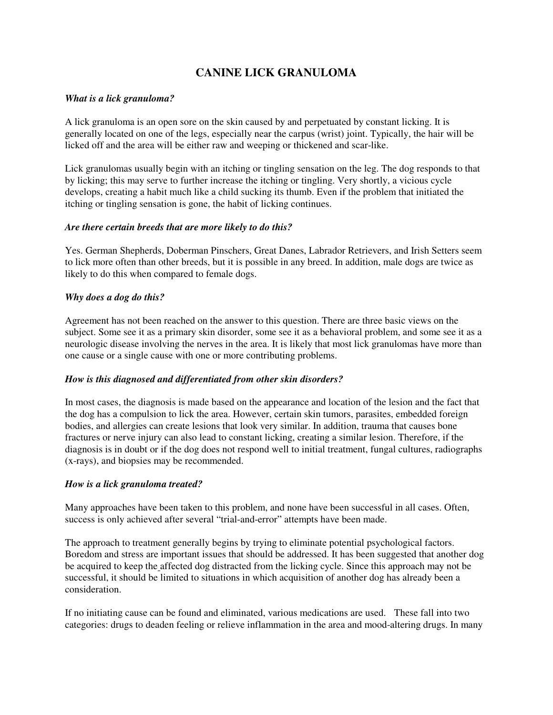# **CANINE LICK GRANULOMA**

## *What is a lick granuloma?*

A lick granuloma is an open sore on the skin caused by and perpetuated by constant licking. It is generally located on one of the legs, especially near the carpus (wrist) joint. Typically, the hair will be licked off and the area will be either raw and weeping or thickened and scar-like.

Lick granulomas usually begin with an itching or tingling sensation on the leg. The dog responds to that by licking; this may serve to further increase the itching or tingling. Very shortly, a vicious cycle develops, creating a habit much like a child sucking its thumb. Even if the problem that initiated the itching or tingling sensation is gone, the habit of licking continues.

## *Are there certain breeds that are more likely to do this?*

Yes. German Shepherds, Doberman Pinschers, Great Danes, Labrador Retrievers, and Irish Setters seem to lick more often than other breeds, but it is possible in any breed. In addition, male dogs are twice as likely to do this when compared to female dogs.

## *Why does a dog do this?*

Agreement has not been reached on the answer to this question. There are three basic views on the subject. Some see it as a primary skin disorder, some see it as a behavioral problem, and some see it as a neurologic disease involving the nerves in the area. It is likely that most lick granulomas have more than one cause or a single cause with one or more contributing problems.

## *How is this diagnosed and differentiated from other skin disorders?*

In most cases, the diagnosis is made based on the appearance and location of the lesion and the fact that the dog has a compulsion to lick the area. However, certain skin tumors, parasites, embedded foreign bodies, and allergies can create lesions that look very similar. In addition, trauma that causes bone fractures or nerve injury can also lead to constant licking, creating a similar lesion. Therefore, if the diagnosis is in doubt or if the dog does not respond well to initial treatment, fungal cultures, radiographs (x-rays), and biopsies may be recommended.

## *How is a lick granuloma treated?*

Many approaches have been taken to this problem, and none have been successful in all cases. Often, success is only achieved after several "trial-and-error" attempts have been made.

The approach to treatment generally begins by trying to eliminate potential psychological factors. Boredom and stress are important issues that should be addressed. It has been suggested that another dog be acquired to keep the affected dog distracted from the licking cycle. Since this approach may not be successful, it should be limited to situations in which acquisition of another dog has already been a consideration.

If no initiating cause can be found and eliminated, various medications are used. These fall into two categories: drugs to deaden feeling or relieve inflammation in the area and mood-altering drugs. In many